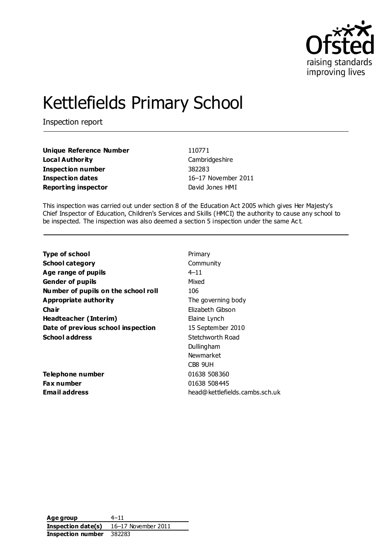

# Kettlefields Primary School

Inspection report

| <b>Unique Reference Number</b> |  |
|--------------------------------|--|
| Local Authority                |  |
| <b>Inspection number</b>       |  |
| <b>Inspection dates</b>        |  |
| <b>Reporting inspector</b>     |  |

**Unique Reference Number** 110771 **Local Authority** Cambridgeshire **Inspection number** 382283 **Inspection dates** 16–17 November 2011 **David Jones HMI** 

This inspection was carried out under section 8 of the Education Act 2005 which gives Her Majesty's Chief Inspector of Education, Children's Services and Skills (HMCI) the authority to cause any school to be inspected. The inspection was also deemed a section 5 inspection under the same Ac t.

| Primary                        |
|--------------------------------|
| Community                      |
| $4 - 11$                       |
| Mixed                          |
| 106                            |
| The governing body             |
| Elizabeth Gibson               |
| Elaine Lynch                   |
| 15 September 2010              |
| Stetchworth Road               |
| Dullingham                     |
| Newmarket                      |
| CB8 9UH                        |
| 01638 508360                   |
| 01638 508445                   |
| head@kettlefields.cambs.sch.uk |
|                                |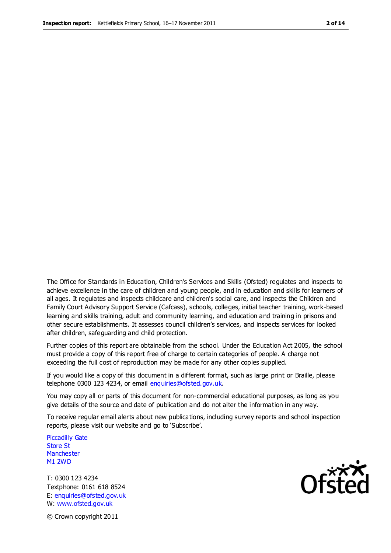The Office for Standards in Education, Children's Services and Skills (Ofsted) regulates and inspects to achieve excellence in the care of children and young people, and in education and skills for learners of all ages. It regulates and inspects childcare and children's social care, and inspects the Children and Family Court Advisory Support Service (Cafcass), schools, colleges, initial teacher training, work-based learning and skills training, adult and community learning, and education and training in prisons and other secure establishments. It assesses council children's services, and inspects services for looked after children, safeguarding and child protection.

Further copies of this report are obtainable from the school. Under the Education Act 2005, the school must provide a copy of this report free of charge to certain categories of people. A charge not exceeding the full cost of reproduction may be made for any other copies supplied.

If you would like a copy of this document in a different format, such as large print or Braille, please telephone 0300 123 4234, or email enquiries@ofsted.gov.uk.

You may copy all or parts of this document for non-commercial educational purposes, as long as you give details of the source and date of publication and do not alter the information in any way.

To receive regular email alerts about new publications, including survey reports and school inspection reports, please visit our website and go to 'Subscribe'.

Piccadilly Gate Store St **Manchester** M1 2WD

T: 0300 123 4234 Textphone: 0161 618 8524 E: enquiries@ofsted.gov.uk W: www.ofsted.gov.uk

**Ofsted** 

© Crown copyright 2011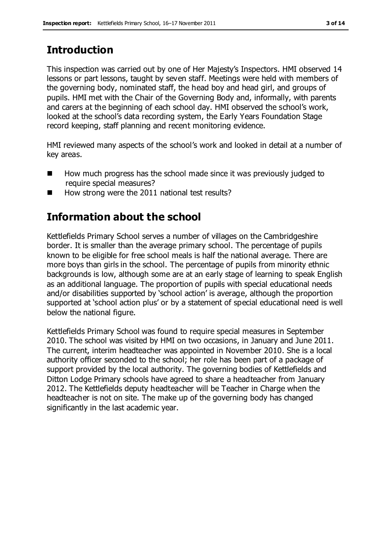## **Introduction**

This inspection was carried out by one of Her Majesty's Inspectors. HMI observed 14 lessons or part lessons, taught by seven staff. Meetings were held with members of the governing body, nominated staff, the head boy and head girl, and groups of pupils. HMI met with the Chair of the Governing Body and, informally, with parents and carers at the beginning of each school day. HMI observed the school's work, looked at the school's data recording system, the Early Years Foundation Stage record keeping, staff planning and recent monitoring evidence.

HMI reviewed many aspects of the school's work and looked in detail at a number of key areas.

- $\blacksquare$  How much progress has the school made since it was previously judged to require special measures?
- $\blacksquare$  How strong were the 2011 national test results?

# **Information about the school**

Kettlefields Primary School serves a number of villages on the Cambridgeshire border. It is smaller than the average primary school. The percentage of pupils known to be eligible for free school meals is half the national average. There are more boys than girls in the school. The percentage of pupils from minority ethnic backgrounds is low, although some are at an early stage of learning to speak English as an additional language. The proportion of pupils with special educational needs and/or disabilities supported by 'school action' is average, although the proportion supported at 'school action plus' or by a statement of special educational need is well below the national figure.

Kettlefields Primary School was found to require special measures in September 2010. The school was visited by HMI on two occasions, in January and June 2011. The current, interim headteacher was appointed in November 2010. She is a local authority officer seconded to the school; her role has been part of a package of support provided by the local authority. The governing bodies of Kettlefields and Ditton Lodge Primary schools have agreed to share a headteacher from January 2012. The Kettlefields deputy headteacher will be Teacher in Charge when the headteacher is not on site. The make up of the governing body has changed significantly in the last academic year.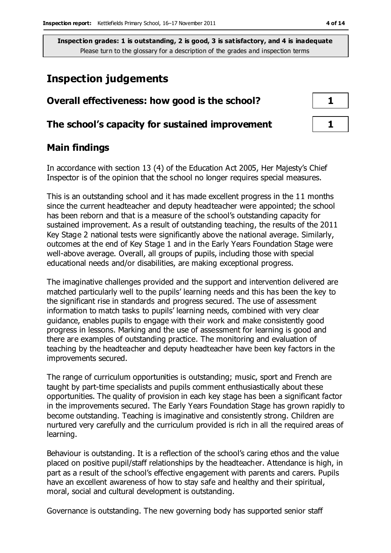# **Inspection judgements**

| Overall effectiveness: how good is the school?  |  |
|-------------------------------------------------|--|
| The school's capacity for sustained improvement |  |

#### **Main findings**

In accordance with section 13 (4) of the Education Act 2005, Her Majesty's Chief Inspector is of the opinion that the school no longer requires special measures.

This is an outstanding school and it has made excellent progress in the 11 months since the current headteacher and deputy headteacher were appointed; the school has been reborn and that is a measure of the school's outstanding capacity for sustained improvement. As a result of outstanding teaching, the results of the 2011 Key Stage 2 national tests were significantly above the national average. Similarly, outcomes at the end of Key Stage 1 and in the Early Years Foundation Stage were well-above average. Overall, all groups of pupils, including those with special educational needs and/or disabilities, are making exceptional progress.

The imaginative challenges provided and the support and intervention delivered are matched particularly well to the pupils' learning needs and this has been the key to the significant rise in standards and progress secured. The use of assessment information to match tasks to pupils' learning needs, combined with very clear guidance, enables pupils to engage with their work and make consistently good progress in lessons. Marking and the use of assessment for learning is good and there are examples of outstanding practice. The monitoring and evaluation of teaching by the headteacher and deputy headteacher have been key factors in the improvements secured.

The range of curriculum opportunities is outstanding; music, sport and French are taught by part-time specialists and pupils comment enthusiastically about these opportunities. The quality of provision in each key stage has been a significant factor in the improvements secured. The Early Years Foundation Stage has grown rapidly to become outstanding. Teaching is imaginative and consistently strong. Children are nurtured very carefully and the curriculum provided is rich in all the required areas of learning.

Behaviour is outstanding. It is a reflection of the school's caring ethos and the value placed on positive pupil/staff relationships by the headteacher. Attendance is high, in part as a result of the school's effective engagement with parents and carers. Pupils have an excellent awareness of how to stay safe and healthy and their spiritual, moral, social and cultural development is outstanding.

Governance is outstanding. The new governing body has supported senior staff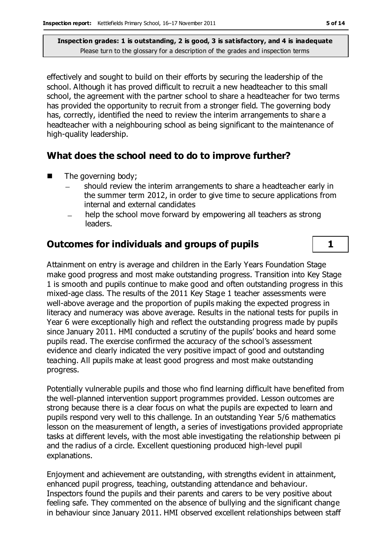effectively and sought to build on their efforts by securing the leadership of the school. Although it has proved difficult to recruit a new headteacher to this small school, the agreement with the partner school to share a headteacher for two terms has provided the opportunity to recruit from a stronger field. The governing body has, correctly, identified the need to review the interim arrangements to share a headteacher with a neighbouring school as being significant to the maintenance of high-quality leadership.

#### **What does the school need to do to improve further?**

- $\blacksquare$  The governing body;
	- should review the interim arrangements to share a headteacher early in the summer term 2012, in order to give time to secure applications from internal and external candidates
	- help the school move forward by empowering all teachers as strong leaders.

#### **Outcomes for individuals and groups of pupils 1**

Attainment on entry is average and children in the Early Years Foundation Stage make good progress and most make outstanding progress. Transition into Key Stage 1 is smooth and pupils continue to make good and often outstanding progress in this mixed-age class. The results of the 2011 Key Stage 1 teacher assessments were well-above average and the proportion of pupils making the expected progress in literacy and numeracy was above average. Results in the national tests for pupils in Year 6 were exceptionally high and reflect the outstanding progress made by pupils since January 2011. HMI conducted a scrutiny of the pupils' books and heard some pupils read. The exercise confirmed the accuracy of the school's assessment evidence and clearly indicated the very positive impact of good and outstanding teaching. All pupils make at least good progress and most make outstanding progress.

Potentially vulnerable pupils and those who find learning difficult have benefited from the well-planned intervention support programmes provided. Lesson outcomes are strong because there is a clear focus on what the pupils are expected to learn and pupils respond very well to this challenge. In an outstanding Year 5/6 mathematics lesson on the measurement of length, a series of investigations provided appropriate tasks at different levels, with the most able investigating the relationship between pi and the radius of a circle. Excellent questioning produced high-level pupil explanations.

Enjoyment and achievement are outstanding, with strengths evident in attainment, enhanced pupil progress, teaching, outstanding attendance and behaviour. Inspectors found the pupils and their parents and carers to be very positive about feeling safe. They commented on the absence of bullying and the significant change in behaviour since January 2011. HMI observed excellent relationships between staff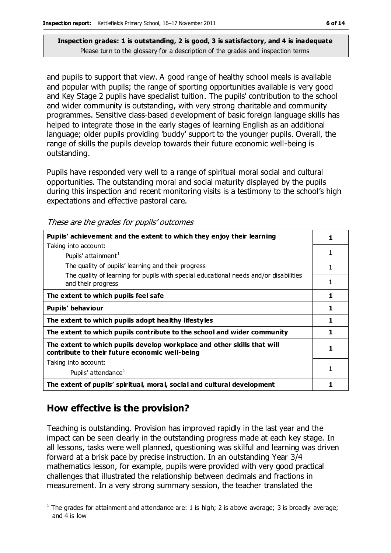and pupils to support that view. A good range of healthy school meals is available and popular with pupils; the range of sporting opportunities available is very good and Key Stage 2 pupils have specialist tuition. The pupils' contribution to the school and wider community is outstanding, with very strong charitable and community programmes. Sensitive class-based development of basic foreign language skills has helped to integrate those in the early stages of learning English as an additional language; older pupils providing 'buddy' support to the younger pupils. Overall, the range of skills the pupils develop towards their future economic well-being is outstanding.

Pupils have responded very well to a range of spiritual moral social and cultural opportunities. The outstanding moral and social maturity displayed by the pupils during this inspection and recent monitoring visits is a testimony to the school's high expectations and effective pastoral care.

These are the grades for pupils' outcomes

| Pupils' achievement and the extent to which they enjoy their learning                                                     |   |  |
|---------------------------------------------------------------------------------------------------------------------------|---|--|
| Taking into account:                                                                                                      |   |  |
| Pupils' attainment <sup>1</sup>                                                                                           |   |  |
| The quality of pupils' learning and their progress                                                                        |   |  |
| The quality of learning for pupils with special educational needs and/or disabilities<br>and their progress               | 1 |  |
| The extent to which pupils feel safe                                                                                      | 1 |  |
| Pupils' behaviour                                                                                                         | 1 |  |
| The extent to which pupils adopt healthy lifestyles                                                                       | 1 |  |
| The extent to which pupils contribute to the school and wider community                                                   | 1 |  |
| The extent to which pupils develop workplace and other skills that will<br>contribute to their future economic well-being | 1 |  |
| Taking into account:                                                                                                      |   |  |
| Pupils' attendance <sup>1</sup>                                                                                           |   |  |
| The extent of pupils' spiritual, moral, social and cultural development                                                   | 1 |  |

### **How effective is the provision?**

Teaching is outstanding. Provision has improved rapidly in the last year and the impact can be seen clearly in the outstanding progress made at each key stage. In all lessons, tasks were well planned, questioning was skilful and learning was driven forward at a brisk pace by precise instruction. In an outstanding Year 3/4 mathematics lesson, for example, pupils were provided with very good practical challenges that illustrated the relationship between decimals and fractions in measurement. In a very strong summary session, the teacher translated the

 $\overline{a}$  $<sup>1</sup>$  The grades for attainment and attendance are: 1 is high; 2 is above average; 3 is broadly average;</sup> and 4 is low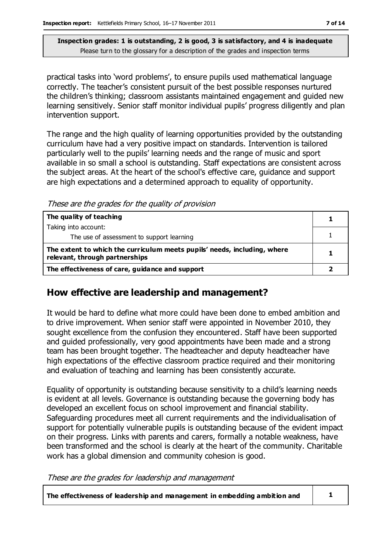practical tasks into 'word problems', to ensure pupils used mathematical language correctly. The teacher's consistent pursuit of the best possible responses nurtured the children's thinking; classroom assistants maintained engagement and guided new learning sensitively. Senior staff monitor individual pupils' progress diligently and plan intervention support.

The range and the high quality of learning opportunities provided by the outstanding curriculum have had a very positive impact on standards. Intervention is tailored particularly well to the pupils' learning needs and the range of music and sport available in so small a school is outstanding. Staff expectations are consistent across the subject areas. At the heart of the school's effective care, guidance and support are high expectations and a determined approach to equality of opportunity.

These are the grades for the quality of provision

| The quality of teaching                                                                                    |  |
|------------------------------------------------------------------------------------------------------------|--|
| Taking into account:                                                                                       |  |
| The use of assessment to support learning                                                                  |  |
| The extent to which the curriculum meets pupils' needs, including, where<br>relevant, through partnerships |  |
| The effectiveness of care, guidance and support                                                            |  |

#### **How effective are leadership and management?**

It would be hard to define what more could have been done to embed ambition and to drive improvement. When senior staff were appointed in November 2010, they sought excellence from the confusion they encountered. Staff have been supported and guided professionally, very good appointments have been made and a strong team has been brought together. The headteacher and deputy headteacher have high expectations of the effective classroom practice required and their monitoring and evaluation of teaching and learning has been consistently accurate.

Equality of opportunity is outstanding because sensitivity to a child's learning needs is evident at all levels. Governance is outstanding because the governing body has developed an excellent focus on school improvement and financial stability. Safeguarding procedures meet all current requirements and the individualisation of support for potentially vulnerable pupils is outstanding because of the evident impact on their progress. Links with parents and carers, formally a notable weakness, have been transformed and the school is clearly at the heart of the community. Charitable work has a global dimension and community cohesion is good.

These are the grades for leadership and management

**The effectiveness of leadership and management in embedding ambition and 1**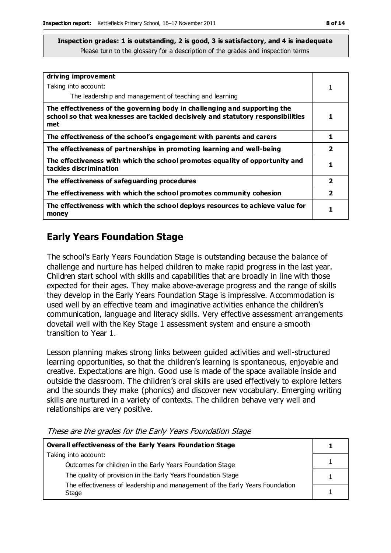**Inspection grades: 1 is outstanding, 2 is good, 3 is satisfactory, and 4 is inadequate**

Please turn to the glossary for a description of the grades and inspection terms

| driving improvement                                                                                                                                                 |                         |
|---------------------------------------------------------------------------------------------------------------------------------------------------------------------|-------------------------|
| Taking into account:                                                                                                                                                |                         |
| The leadership and management of teaching and learning                                                                                                              |                         |
| The effectiveness of the governing body in challenging and supporting the<br>school so that weaknesses are tackled decisively and statutory responsibilities<br>met | 1                       |
| The effectiveness of the school's engagement with parents and carers                                                                                                | 1                       |
| The effectiveness of partnerships in promoting learning and well-being                                                                                              | $\overline{\mathbf{2}}$ |
| The effectiveness with which the school promotes equality of opportunity and<br>tackles discrimination                                                              | 1                       |
| The effectiveness of safeguarding procedures                                                                                                                        | $\overline{\mathbf{2}}$ |
| The effectiveness with which the school promotes community cohesion                                                                                                 | 2                       |
| The effectiveness with which the school deploys resources to achieve value for<br>money                                                                             | 1                       |

#### **Early Years Foundation Stage**

The school's Early Years Foundation Stage is outstanding because the balance of challenge and nurture has helped children to make rapid progress in the last year. Children start school with skills and capabilities that are broadly in line with those expected for their ages. They make above-average progress and the range of skills they develop in the Early Years Foundation Stage is impressive. Accommodation is used well by an effective team and imaginative activities enhance the children's communication, language and literacy skills. Very effective assessment arrangements dovetail well with the Key Stage 1 assessment system and ensure a smooth transition to Year 1.

Lesson planning makes strong links between guided activities and well-structured learning opportunities, so that the children's learning is spontaneous, enjoyable and creative. Expectations are high. Good use is made of the space available inside and outside the classroom. The children's oral skills are used effectively to explore letters and the sounds they make (phonics) and discover new vocabulary. Emerging writing skills are nurtured in a variety of contexts. The children behave very well and relationships are very positive.

| <b>Overall effectiveness of the Early Years Foundation Stage</b>                      |  |  |
|---------------------------------------------------------------------------------------|--|--|
| Taking into account:                                                                  |  |  |
| Outcomes for children in the Early Years Foundation Stage                             |  |  |
| The quality of provision in the Early Years Foundation Stage                          |  |  |
| The effectiveness of leadership and management of the Early Years Foundation<br>Stage |  |  |
|                                                                                       |  |  |

These are the grades for the Early Years Foundation Stage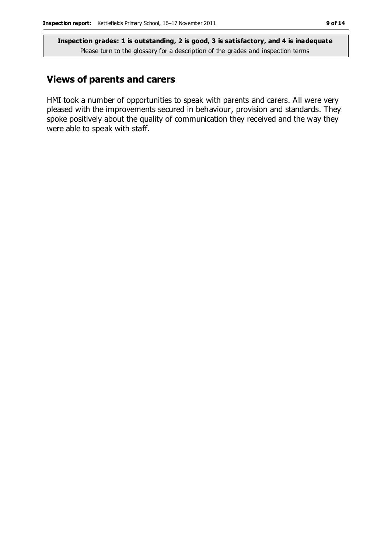#### **Views of parents and carers**

HMI took a number of opportunities to speak with parents and carers. All were very pleased with the improvements secured in behaviour, provision and standards. They spoke positively about the quality of communication they received and the way they were able to speak with staff.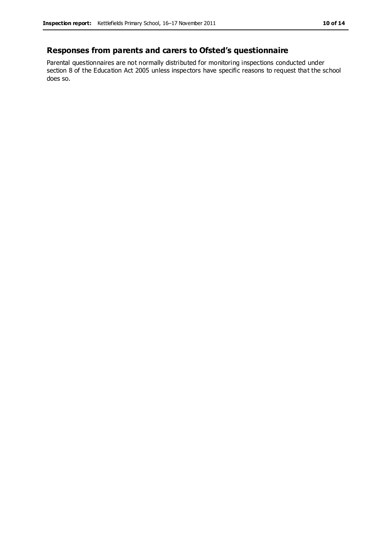#### **Responses from parents and carers to Ofsted's questionnaire**

Parental questionnaires are not normally distributed for monitoring inspections conducted under section 8 of the Education Act 2005 unless inspectors have specific reasons to request that the school does so.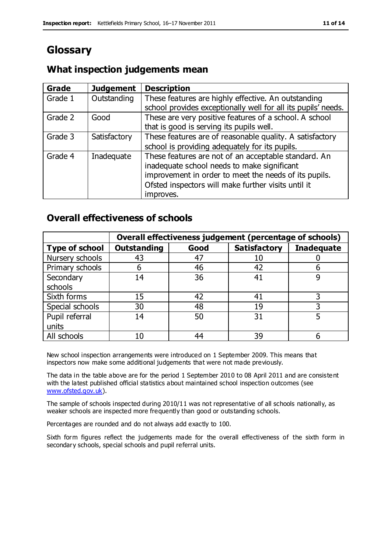# **Glossary**

#### **What inspection judgements mean**

| Grade   | <b>Judgement</b> | <b>Description</b>                                            |
|---------|------------------|---------------------------------------------------------------|
| Grade 1 | Outstanding      | These features are highly effective. An outstanding           |
|         |                  | school provides exceptionally well for all its pupils' needs. |
| Grade 2 | Good             | These are very positive features of a school. A school        |
|         |                  | that is good is serving its pupils well.                      |
| Grade 3 | Satisfactory     | These features are of reasonable quality. A satisfactory      |
|         |                  | school is providing adequately for its pupils.                |
| Grade 4 | Inadequate       | These features are not of an acceptable standard. An          |
|         |                  | inadequate school needs to make significant                   |
|         |                  | improvement in order to meet the needs of its pupils.         |
|         |                  | Ofsted inspectors will make further visits until it           |
|         |                  | improves.                                                     |

#### **Overall effectiveness of schools**

|                       | Overall effectiveness judgement (percentage of schools) |      |                     |                   |
|-----------------------|---------------------------------------------------------|------|---------------------|-------------------|
| <b>Type of school</b> | <b>Outstanding</b>                                      | Good | <b>Satisfactory</b> | <b>Inadequate</b> |
| Nursery schools       | 43                                                      | 47   | 10                  |                   |
| Primary schools       | 6                                                       | 46   | 42                  |                   |
| Secondary             | 14                                                      | 36   | 41                  |                   |
| schools               |                                                         |      |                     |                   |
| Sixth forms           | 15                                                      | 42   | 41                  | 3                 |
| Special schools       | 30                                                      | 48   | 19                  |                   |
| Pupil referral        | 14                                                      | 50   | 31                  |                   |
| units                 |                                                         |      |                     |                   |
| All schools           | 10                                                      | 44   | 39                  |                   |

New school inspection arrangements were introduced on 1 September 2009. This means that inspectors now make some additional judgements that were not made previously.

The data in the table above are for the period 1 September 2010 to 08 April 2011 and are consistent with the latest published official statistics about maintained school inspection outcomes (see [www.ofsted.gov.uk\)](http://www.ofsted.gov.uk/).

The sample of schools inspected during 2010/11 was not representative of all schools nationally, as weaker schools are inspected more frequently than good or outstanding schools.

Percentages are rounded and do not always add exactly to 100.

Sixth form figures reflect the judgements made for the overall effectiveness of the sixth form in secondary schools, special schools and pupil referral units.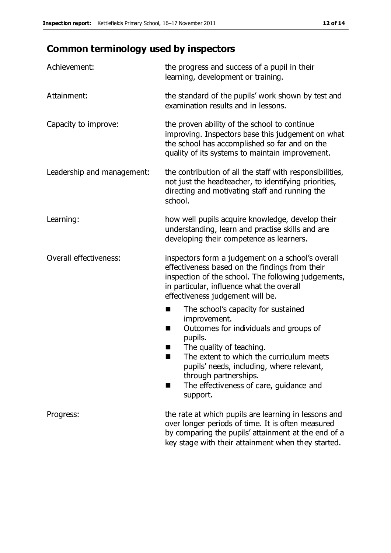# **Common terminology used by inspectors**

| Achievement:                  | the progress and success of a pupil in their<br>learning, development or training.                                                                                                                                                                                                                                              |
|-------------------------------|---------------------------------------------------------------------------------------------------------------------------------------------------------------------------------------------------------------------------------------------------------------------------------------------------------------------------------|
| Attainment:                   | the standard of the pupils' work shown by test and<br>examination results and in lessons.                                                                                                                                                                                                                                       |
| Capacity to improve:          | the proven ability of the school to continue<br>improving. Inspectors base this judgement on what<br>the school has accomplished so far and on the<br>quality of its systems to maintain improvement.                                                                                                                           |
| Leadership and management:    | the contribution of all the staff with responsibilities,<br>not just the headteacher, to identifying priorities,<br>directing and motivating staff and running the<br>school.                                                                                                                                                   |
| Learning:                     | how well pupils acquire knowledge, develop their<br>understanding, learn and practise skills and are<br>developing their competence as learners.                                                                                                                                                                                |
| <b>Overall effectiveness:</b> | inspectors form a judgement on a school's overall<br>effectiveness based on the findings from their<br>inspection of the school. The following judgements,<br>in particular, influence what the overall<br>effectiveness judgement will be.                                                                                     |
|                               | The school's capacity for sustained<br>٠<br>improvement.<br>Outcomes for individuals and groups of<br>ш<br>pupils.<br>The quality of teaching.<br>The extent to which the curriculum meets<br>a ka<br>pupils' needs, including, where relevant,<br>through partnerships.<br>The effectiveness of care, guidance and<br>support. |
| Progress:                     | the rate at which pupils are learning in lessons and<br>over longer periods of time. It is often measured<br>by comparing the pupils' attainment at the end of a<br>key stage with their attainment when they started.                                                                                                          |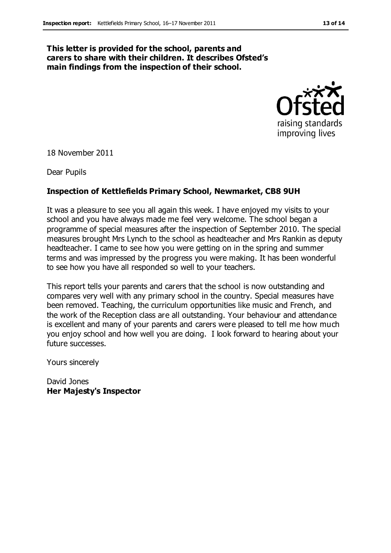#### **This letter is provided for the school, parents and carers to share with their children. It describes Ofsted's main findings from the inspection of their school.**



18 November 2011

Dear Pupils

#### **Inspection of Kettlefields Primary School, Newmarket, CB8 9UH**

It was a pleasure to see you all again this week. I have enjoyed my visits to your school and you have always made me feel very welcome. The school began a programme of special measures after the inspection of September 2010. The special measures brought Mrs Lynch to the school as headteacher and Mrs Rankin as deputy headteacher. I came to see how you were getting on in the spring and summer terms and was impressed by the progress you were making. It has been wonderful to see how you have all responded so well to your teachers.

This report tells your parents and carers that the school is now outstanding and compares very well with any primary school in the country. Special measures have been removed. Teaching, the curriculum opportunities like music and French, and the work of the Reception class are all outstanding. Your behaviour and attendance is excellent and many of your parents and carers were pleased to tell me how much you enjoy school and how well you are doing. I look forward to hearing about your future successes.

Yours sincerely

David Jones **Her Majesty's Inspector**